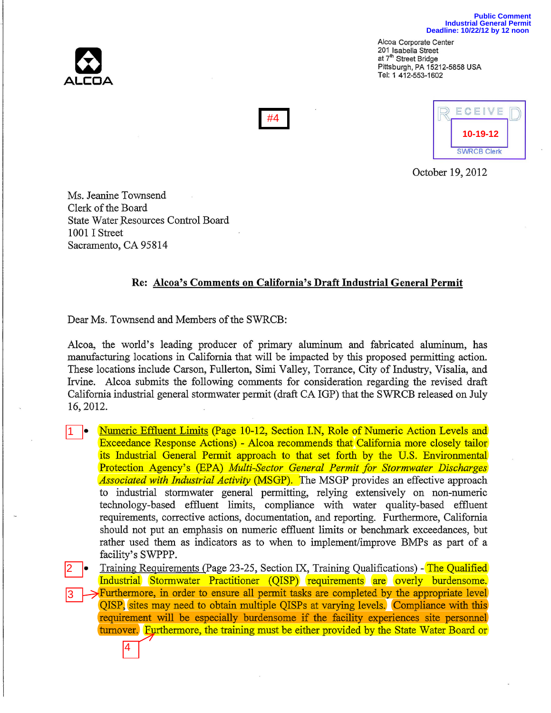

Alcoa Corporate Center 201 Isabella Street at 7'h Street Bridge Pittsburgh, PA 15212-5858 USA Tel: 1 412-553-1602



October 19,2012

Ms. Jeanine Townsend Clerk of the Board State Water Resources Control Board 1001 I Street Sacramento, CA 95814

4

## **Re: Alcoa's Comments on California's Draft Industrial General Permit**

Dear Ms. Townsend and Members of the SWRCB:

Alcoa, the world's leading producer of primary aluminum and fabricated aluminum, has manufacturing locations in California that will be impacted by this proposed permitting action. These locations include Carson, Fullerton, Simi Valley, Torrance, City of Industry, Visalia, and Irvine. Alcoa submits the following comments for consideration regarding the revised draft California industrial general stormwater permit (draft CA IGP) that the SWRCB released on July 16,2012.

• Numeric Effluent Limits (page 10-12, Section LN, Role of Numeric Action Levels and Exceedance Response Actions) - Alcoa recommends that California more closely tailor its Industrial General Permit approach to that set forth by the U.S. Environmental Protection Agency's (EPA) *Multi-Sector General Permit for Stormwater Discharges Associated with Industrial Activity* (MSGP). The MSGP provides an effective approach to industrial stormwater general permitting, relying extensively on non-numeric technology-based effluent limits, compliance with water quality-based effluent requirements, corrective actions, documentation, and reporting. Furthermore, California should not put an emphasis on numeric effluent limits or benchmark exceedances, but rather used them as indicators as to when to implement/improve BMPs as part of a facility's SWPPP. 1

• Training Requirements (Page 23-25, Section IX, Training Qualifications) - The Qualified Industrial Stormwater Practitioner (QISP) requirements are overly burdensome. Furthermore, in order to ensure all permit tasks are completed by the appropriate level QISP, sites may need to obtain multiple QISPs at varying levels. Compliance with this requirement will be especially burdensome if the facility experiences site personnel turnover. Furthermore, the training must be either provided by the State Water Board or 2 3